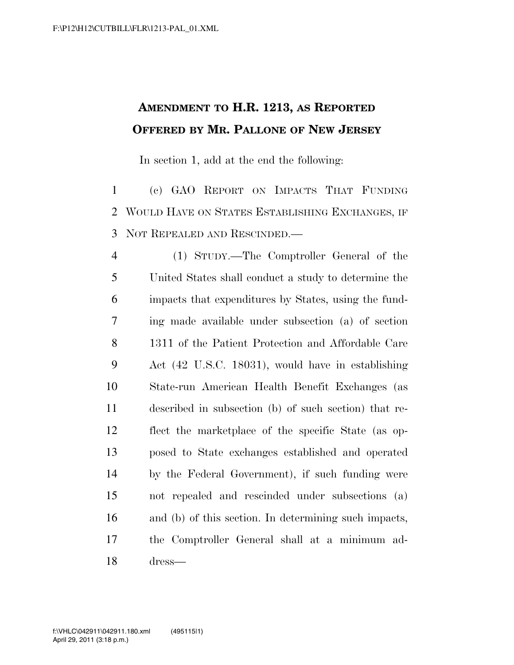## **AMENDMENT TO H.R. 1213, AS REPORTED OFFERED BY MR. PALLONE OF NEW JERSEY**

In section 1, add at the end the following:

 (c) GAO REPORT ON IMPACTS THAT FUNDING WOULD HAVE ON STATES ESTABLISHING EXCHANGES, IF NOT REPEALED AND RESCINDED.—

 (1) STUDY.—The Comptroller General of the United States shall conduct a study to determine the impacts that expenditures by States, using the fund- ing made available under subsection (a) of section 1311 of the Patient Protection and Affordable Care Act (42 U.S.C. 18031), would have in establishing State-run American Health Benefit Exchanges (as described in subsection (b) of such section) that re- flect the marketplace of the specific State (as op- posed to State exchanges established and operated by the Federal Government), if such funding were not repealed and rescinded under subsections (a) and (b) of this section. In determining such impacts, the Comptroller General shall at a minimum ad-dress